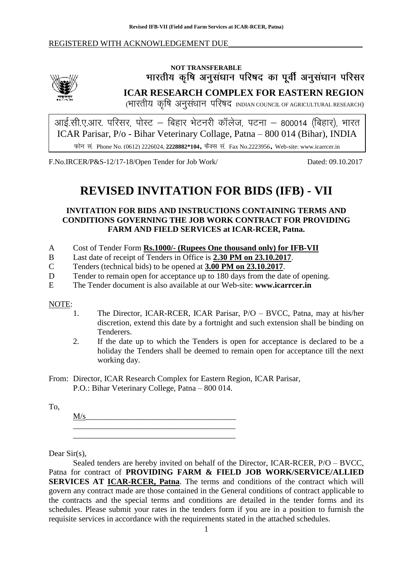#### REGISTERED WITH ACKNOWLEDGEMENT DUE



# NOT TRANSFERABLE<br>भारतीय कृषि अनुसंधान परिषद का पूर्वी अनुसंधान परिसर

**ICAR RESEARCH COMPLEX FOR EASTERN REGION**

(भारतीय कृषि अनुसंधान परिषद INDIAN COUNCIL OF AGRICULTURAL RESEARCH)

ICAR Parisar, P/o - Bihar Veterinary Collage, Patna – 800 014 (Bihar), INDIA Phone No. (0612) 2226024, **2228882\*104**, Fax No.2223956, Web-site: www.icarrcer.in

F.No.IRCER/P&S-12/17-18/Open Tender for Job Work/ Dated: 09.10.2017

# **REVISED INVITATION FOR BIDS (IFB) - VII**

**INVITATION FOR BIDS AND INSTRUCTIONS CONTAINING TERMS AND CONDITIONS GOVERNING THE JOB WORK CONTRACT FOR PROVIDING FARM AND FIELD SERVICES at ICAR-RCER, Patna.**

- A Cost of Tender Form **Rs.1000/- (Rupees One thousand only) for IFB-VII**
- B Last date of receipt of Tenders in Office is **2.30 PM on 23.10.2017**.
- C Tenders (technical bids) to be opened at **3.00 PM on 23.10.2017**.
- D Tender to remain open for acceptance up to 180 days from the date of opening.
- E The Tender document is also available at our Web-site: **www.icarrcer.in**

#### NOTE:

- 1. The Director, ICAR-RCER, ICAR Parisar, P/O BVCC, Patna, may at his/her discretion, extend this date by a fortnight and such extension shall be binding on Tenderers.
- 2. If the date up to which the Tenders is open for acceptance is declared to be a holiday the Tenders shall be deemed to remain open for acceptance till the next working day.
- From: Director, ICAR Research Complex for Eastern Region, ICAR Parisar, P.O.: Bihar Veterinary College, Patna – 800 014.

To,

 $M/s$ \_\_\_\_\_\_\_\_\_\_\_\_\_\_\_\_\_\_\_\_\_\_\_\_\_\_\_\_\_\_\_\_\_\_\_\_\_\_\_\_

\_\_\_\_\_\_\_\_\_\_\_\_\_\_\_\_\_\_\_\_\_\_\_\_\_\_\_\_\_\_\_\_\_\_\_\_\_\_\_\_

Dear Sir(s),

Sealed tenders are hereby invited on behalf of the Director, ICAR-RCER, P/O – BVCC, Patna for contract of **PROVIDING FARM & FIELD JOB WORK/SERVICE/ALLIED SERVICES AT ICAR-RCER, Patna**. The terms and conditions of the contract which will govern any contract made are those contained in the General conditions of contract applicable to the contracts and the special terms and conditions are detailed in the tender forms and its schedules. Please submit your rates in the tenders form if you are in a position to furnish the requisite services in accordance with the requirements stated in the attached schedules.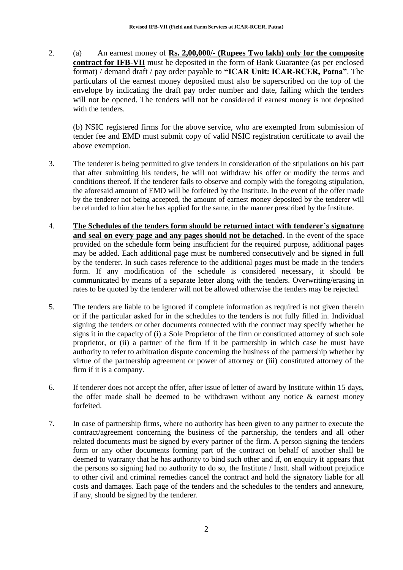2. (a) An earnest money of **Rs. 2,00,000/- (Rupees Two lakh) only for the composite contract for IFB-VII** must be deposited in the form of Bank Guarantee (as per enclosed format) / demand draft / pay order payable to **"ICAR Unit: ICAR-RCER, Patna"**. The particulars of the earnest money deposited must also be superscribed on the top of the envelope by indicating the draft pay order number and date, failing which the tenders will not be opened. The tenders will not be considered if earnest money is not deposited with the tenders.

(b) NSIC registered firms for the above service, who are exempted from submission of tender fee and EMD must submit copy of valid NSIC registration certificate to avail the above exemption.

- 3. The tenderer is being permitted to give tenders in consideration of the stipulations on his part that after submitting his tenders, he will not withdraw his offer or modify the terms and conditions thereof. If the tenderer fails to observe and comply with the foregoing stipulation, the aforesaid amount of EMD will be forfeited by the Institute. In the event of the offer made by the tenderer not being accepted, the amount of earnest money deposited by the tenderer will be refunded to him after he has applied for the same, in the manner prescribed by the Institute.
- 4. **The Schedules of the tenders form should be returned intact with tenderer's signature and seal on every page and any pages should not be detached**. In the event of the space provided on the schedule form being insufficient for the required purpose, additional pages may be added. Each additional page must be numbered consecutively and be signed in full by the tenderer. In such cases reference to the additional pages must be made in the tenders form. If any modification of the schedule is considered necessary, it should be communicated by means of a separate letter along with the tenders. Overwriting/erasing in rates to be quoted by the tenderer will not be allowed otherwise the tenders may be rejected.
- 5. The tenders are liable to be ignored if complete information as required is not given therein or if the particular asked for in the schedules to the tenders is not fully filled in. Individual signing the tenders or other documents connected with the contract may specify whether he signs it in the capacity of (i) a Sole Proprietor of the firm or constituted attorney of such sole proprietor, or (ii) a partner of the firm if it be partnership in which case he must have authority to refer to arbitration dispute concerning the business of the partnership whether by virtue of the partnership agreement or power of attorney or (iii) constituted attorney of the firm if it is a company.
- 6. If tenderer does not accept the offer, after issue of letter of award by Institute within 15 days, the offer made shall be deemed to be withdrawn without any notice  $\&$  earnest money forfeited.
- 7. In case of partnership firms, where no authority has been given to any partner to execute the contract/agreement concerning the business of the partnership, the tenders and all other related documents must be signed by every partner of the firm. A person signing the tenders form or any other documents forming part of the contract on behalf of another shall be deemed to warranty that he has authority to bind such other and if, on enquiry it appears that the persons so signing had no authority to do so, the Institute / Instt. shall without prejudice to other civil and criminal remedies cancel the contract and hold the signatory liable for all costs and damages. Each page of the tenders and the schedules to the tenders and annexure, if any, should be signed by the tenderer.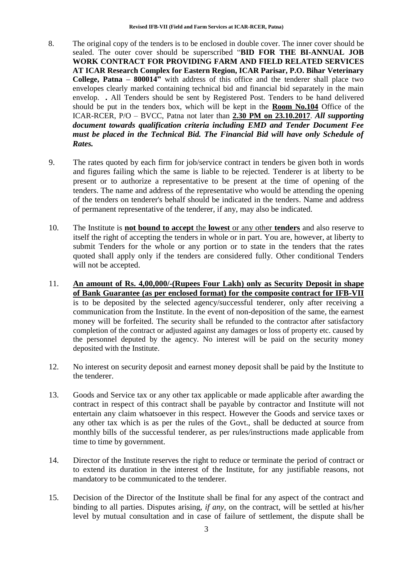- 8. The original copy of the tenders is to be enclosed in double cover. The inner cover should be sealed. The outer cover should be superscribed "**BID FOR THE BI-ANNUAL JOB WORK CONTRACT FOR PROVIDING FARM AND FIELD RELATED SERVICES AT ICAR Research Complex for Eastern Region, ICAR Parisar, P.O. Bihar Veterinary College, Patna – 800014"** with address of this office and the tenderer shall place two envelopes clearly marked containing technical bid and financial bid separately in the main envelop. *.* All Tenders should be sent by Registered Post. Tenders to be hand delivered should be put in the tenders box, which will be kept in the **Room No.104** Office of the ICAR-RCER, P/O – BVCC, Patna not later than **2.30 PM on 23.10.2017**. *All supporting document towards qualification criteria including EMD and Tender Document Fee must be placed in the Technical Bid. The Financial Bid will have only Schedule of Rates.*
- 9. The rates quoted by each firm for job/service contract in tenders be given both in words and figures failing which the same is liable to be rejected. Tenderer is at liberty to be present or to authorize a representative to be present at the time of opening of the tenders. The name and address of the representative who would be attending the opening of the tenders on tenderer's behalf should be indicated in the tenders. Name and address of permanent representative of the tenderer, if any, may also be indicated.
- 10. The Institute is **not bound to accept** the **lowest** or any other **tenders** and also reserve to itself the right of accepting the tenders in whole or in part. You are, however, at liberty to submit Tenders for the whole or any portion or to state in the tenders that the rates quoted shall apply only if the tenders are considered fully. Other conditional Tenders will not be accepted.
- 11. **An amount of Rs. 4,00,000/-(Rupees Four Lakh) only as Security Deposit in shape of Bank Guarantee (as per enclosed format) for the composite contract for IFB-VII** is to be deposited by the selected agency/successful tenderer, only after receiving a communication from the Institute. In the event of non-deposition of the same, the earnest money will be forfeited. The security shall be refunded to the contractor after satisfactory completion of the contract or adjusted against any damages or loss of property etc. caused by the personnel deputed by the agency. No interest will be paid on the security money deposited with the Institute.
- 12. No interest on security deposit and earnest money deposit shall be paid by the Institute to the tenderer.
- 13. Goods and Service tax or any other tax applicable or made applicable after awarding the contract in respect of this contract shall be payable by contractor and Institute will not entertain any claim whatsoever in this respect. However the Goods and service taxes or any other tax which is as per the rules of the Govt., shall be deducted at source from monthly bills of the successful tenderer, as per rules/instructions made applicable from time to time by government.
- 14. Director of the Institute reserves the right to reduce or terminate the period of contract or to extend its duration in the interest of the Institute, for any justifiable reasons, not mandatory to be communicated to the tenderer.
- 15. Decision of the Director of the Institute shall be final for any aspect of the contract and binding to all parties. Disputes arising, *if any*, on the contract, will be settled at his/her level by mutual consultation and in case of failure of settlement, the dispute shall be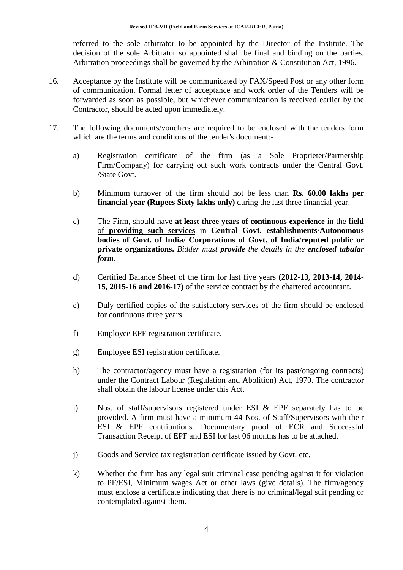referred to the sole arbitrator to be appointed by the Director of the Institute. The decision of the sole Arbitrator so appointed shall be final and binding on the parties. Arbitration proceedings shall be governed by the Arbitration & Constitution Act, 1996.

- 16. Acceptance by the Institute will be communicated by FAX/Speed Post or any other form of communication. Formal letter of acceptance and work order of the Tenders will be forwarded as soon as possible, but whichever communication is received earlier by the Contractor, should be acted upon immediately.
- 17. The following documents/vouchers are required to be enclosed with the tenders form which are the terms and conditions of the tender's document:
	- a) Registration certificate of the firm (as a Sole Proprieter/Partnership Firm/Company) for carrying out such work contracts under the Central Govt. /State Govt.
	- b) Minimum turnover of the firm should not be less than **Rs. 60.00 lakhs per financial year (Rupees Sixty lakhs only)** during the last three financial year.
	- c) The Firm, should have **at least three years of continuous experience** in the **field** of **providing such services** in **Central Govt. establishments**/**Autonomous bodies of Govt. of India**/ **Corporations of Govt. of India**/**reputed public or private organizations.** *Bidder must provide the details in the enclosed tabular form*.
	- d) Certified Balance Sheet of the firm for last five years **(2012-13, 2013-14, 2014- 15, 2015-16 and 2016-17)** of the service contract by the chartered accountant.
	- e) Duly certified copies of the satisfactory services of the firm should be enclosed for continuous three years.
	- f) Employee EPF registration certificate.
	- g) Employee ESI registration certificate.
	- h) The contractor/agency must have a registration (for its past/ongoing contracts) under the Contract Labour (Regulation and Abolition) Act, 1970. The contractor shall obtain the labour license under this Act.
	- i) Nos. of staff/supervisors registered under ESI & EPF separately has to be provided. A firm must have a minimum 44 Nos. of Staff/Supervisors with their ESI & EPF contributions. Documentary proof of ECR and Successful Transaction Receipt of EPF and ESI for last 06 months has to be attached.
	- j) Goods and Service tax registration certificate issued by Govt. etc.
	- k) Whether the firm has any legal suit criminal case pending against it for violation to PF/ESI, Minimum wages Act or other laws (give details). The firm/agency must enclose a certificate indicating that there is no criminal/legal suit pending or contemplated against them.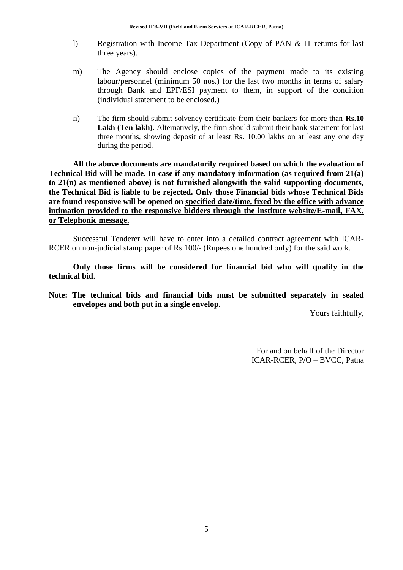- l) Registration with Income Tax Department (Copy of PAN & IT returns for last three years).
- m) The Agency should enclose copies of the payment made to its existing labour/personnel (minimum 50 nos.) for the last two months in terms of salary through Bank and EPF/ESI payment to them, in support of the condition (individual statement to be enclosed.)
- n) The firm should submit solvency certificate from their bankers for more than **Rs.10**  Lakh (Ten lakh). Alternatively, the firm should submit their bank statement for last three months, showing deposit of at least Rs. 10.00 lakhs on at least any one day during the period.

**All the above documents are mandatorily required based on which the evaluation of Technical Bid will be made. In case if any mandatory information (as required from 21(a) to 21(n) as mentioned above) is not furnished alongwith the valid supporting documents, the Technical Bid is liable to be rejected. Only those Financial bids whose Technical Bids are found responsive will be opened on specified date/time, fixed by the office with advance intimation provided to the responsive bidders through the institute website/E-mail, FAX, or Telephonic message.**

Successful Tenderer will have to enter into a detailed contract agreement with ICAR-RCER on non-judicial stamp paper of Rs.100/- (Rupees one hundred only) for the said work.

**Only those firms will be considered for financial bid who will qualify in the technical bid**.

**Note: The technical bids and financial bids must be submitted separately in sealed envelopes and both put in a single envelop.**

Yours faithfully,

For and on behalf of the Director ICAR-RCER, P/O – BVCC, Patna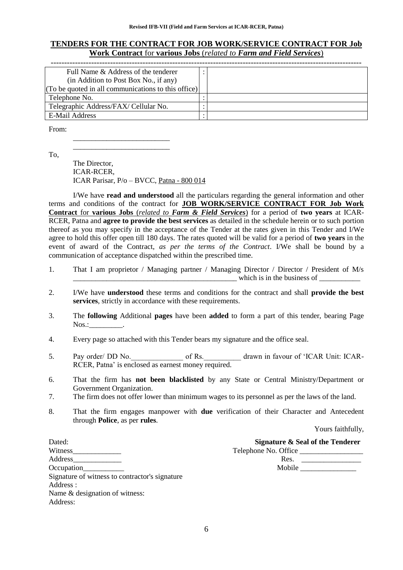#### **TENDERS FOR THE CONTRACT FOR JOB WORK/SERVICE CONTRACT FOR Job Work Contract** for **various Jobs** (*related to Farm and Field Services*)

| Full Name & Address of the tenderer                 |  |
|-----------------------------------------------------|--|
| (in Addition to Post Box No., if any)               |  |
| (To be quoted in all communications to this office) |  |
| Telephone No.                                       |  |
| Telegraphic Address/FAX/ Cellular No.               |  |
| E-Mail Address                                      |  |

From:

To,

The Director, ICAR-RCER, ICAR Parisar, P/o – BVCC, Patna - 800 014

\_\_\_\_\_\_\_\_\_\_\_\_\_\_\_\_\_\_\_\_\_\_\_\_\_\_ \_\_\_\_\_\_\_\_\_\_\_\_\_\_\_\_\_\_\_\_\_\_\_\_\_\_

I/We have **read and understood** all the particulars regarding the general information and other terms and conditions of the contract for **JOB WORK/SERVICE CONTRACT FOR Job Work Contract** for **various Jobs** (*related to Farm & Field Services*) for a period of **two years** at ICAR-RCER, Patna and **agree to provide the best services** as detailed in the schedule herein or to such portion thereof as you may specify in the acceptance of the Tender at the rates given in this Tender and I/We agree to hold this offer open till 180 days. The rates quoted will be valid for a period of **two years** in the event of award of the Contract, *as per the terms of the Contract*. I/We shall be bound by a communication of acceptance dispatched within the prescribed time.

- 1. That I am proprietor / Managing partner / Managing Director / Director / President of M/s  $\blacksquare$  which is in the business of
- 2. I/We have **understood** these terms and conditions for the contract and shall **provide the best services**, strictly in accordance with these requirements.
- 3. The **following** Additional **pages** have been **added** to form a part of this tender, bearing Page  $N$ os.: $\qquad \qquad$
- 4. Every page so attached with this Tender bears my signature and the office seal.
- 5. Pay order/ DD No. of Rs. The drawn in favour of 'ICAR Unit: ICAR-RCER, Patna" is enclosed as earnest money required.
- 6. That the firm has **not been blacklisted** by any State or Central Ministry/Department or Government Organization.
- 7. The firm does not offer lower than minimum wages to its personnel as per the laws of the land.
- 8. That the firm engages manpower with **due** verification of their Character and Antecedent through **Police**, as per **rules**.

Yours faithfully,

Dated: **Signature & Seal of the Tenderer** Witness Telephone No. Office Address\_\_\_\_\_\_\_\_\_\_\_\_\_ Res. \_\_\_\_\_\_\_\_\_\_\_\_\_\_\_\_ Occupation\_\_\_\_\_\_\_\_\_\_\_ Mobile \_\_\_\_\_\_\_\_\_\_\_\_\_\_\_ Signature of witness to contractor's signature Address : Name & designation of witness: Address: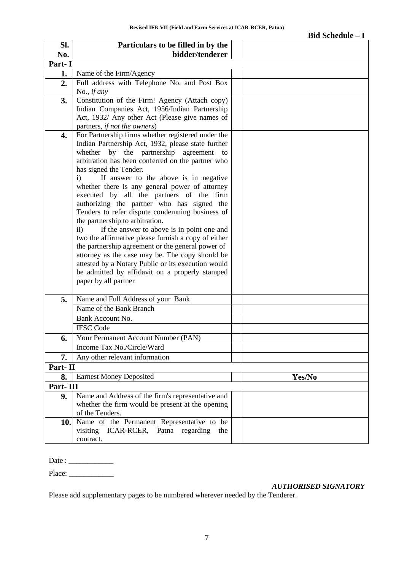|          |                                                                                                                                                                                                                                                                                                                                                                                                                                                                                                                                                                                                                                                                                                                                                                                                                                                                                            | <b>Bid Schedule - I</b> |
|----------|--------------------------------------------------------------------------------------------------------------------------------------------------------------------------------------------------------------------------------------------------------------------------------------------------------------------------------------------------------------------------------------------------------------------------------------------------------------------------------------------------------------------------------------------------------------------------------------------------------------------------------------------------------------------------------------------------------------------------------------------------------------------------------------------------------------------------------------------------------------------------------------------|-------------------------|
| Sl.      | Particulars to be filled in by the                                                                                                                                                                                                                                                                                                                                                                                                                                                                                                                                                                                                                                                                                                                                                                                                                                                         |                         |
| No.      | bidder/tenderer                                                                                                                                                                                                                                                                                                                                                                                                                                                                                                                                                                                                                                                                                                                                                                                                                                                                            |                         |
| Part-I   |                                                                                                                                                                                                                                                                                                                                                                                                                                                                                                                                                                                                                                                                                                                                                                                                                                                                                            |                         |
| 1.       | Name of the Firm/Agency                                                                                                                                                                                                                                                                                                                                                                                                                                                                                                                                                                                                                                                                                                                                                                                                                                                                    |                         |
| 2.       | Full address with Telephone No. and Post Box<br>No., <i>if any</i>                                                                                                                                                                                                                                                                                                                                                                                                                                                                                                                                                                                                                                                                                                                                                                                                                         |                         |
| 3.       | Constitution of the Firm! Agency (Attach copy)<br>Indian Companies Act, 1956/Indian Partnership<br>Act, 1932/ Any other Act (Please give names of<br>partners, if not the owners)                                                                                                                                                                                                                                                                                                                                                                                                                                                                                                                                                                                                                                                                                                          |                         |
| 4.       | For Partnership firms whether registered under the<br>Indian Partnership Act, 1932, please state further<br>the partnership agreement<br>whether<br>by<br>to<br>arbitration has been conferred on the partner who<br>has signed the Tender.<br>If answer to the above is in negative<br>i)<br>whether there is any general power of attorney<br>executed by all the partners of the firm<br>authorizing the partner who has signed the<br>Tenders to refer dispute condemning business of<br>the partnership to arbitration.<br>If the answer to above is in point one and<br>$\mathbf{ii}$<br>two the affirmative please furnish a copy of either<br>the partnership agreement or the general power of<br>attorney as the case may be. The copy should be<br>attested by a Notary Public or its execution would<br>be admitted by affidavit on a properly stamped<br>paper by all partner |                         |
| 5.       | Name and Full Address of your Bank<br>Name of the Bank Branch<br>Bank Account No.<br><b>IFSC</b> Code                                                                                                                                                                                                                                                                                                                                                                                                                                                                                                                                                                                                                                                                                                                                                                                      |                         |
| 6.       | Your Permanent Account Number (PAN)                                                                                                                                                                                                                                                                                                                                                                                                                                                                                                                                                                                                                                                                                                                                                                                                                                                        |                         |
|          | Income Tax No./Circle/Ward                                                                                                                                                                                                                                                                                                                                                                                                                                                                                                                                                                                                                                                                                                                                                                                                                                                                 |                         |
| 7.       | Any other relevant information                                                                                                                                                                                                                                                                                                                                                                                                                                                                                                                                                                                                                                                                                                                                                                                                                                                             |                         |
| Part-II  |                                                                                                                                                                                                                                                                                                                                                                                                                                                                                                                                                                                                                                                                                                                                                                                                                                                                                            |                         |
| 8.       | <b>Earnest Money Deposited</b>                                                                                                                                                                                                                                                                                                                                                                                                                                                                                                                                                                                                                                                                                                                                                                                                                                                             | Yes/No                  |
| Part-III |                                                                                                                                                                                                                                                                                                                                                                                                                                                                                                                                                                                                                                                                                                                                                                                                                                                                                            |                         |
| 9.       | Name and Address of the firm's representative and<br>whether the firm would be present at the opening<br>of the Tenders.                                                                                                                                                                                                                                                                                                                                                                                                                                                                                                                                                                                                                                                                                                                                                                   |                         |
|          | 10. Name of the Permanent Representative to be<br>ICAR-RCER, Patna regarding<br>visiting<br>the<br>contract.                                                                                                                                                                                                                                                                                                                                                                                                                                                                                                                                                                                                                                                                                                                                                                               |                         |

Date : \_\_\_\_\_\_\_\_\_\_\_\_

Place: \_\_\_\_\_\_\_\_\_\_\_\_

*AUTHORISED SIGNATORY*

Please add supplementary pages to be numbered wherever needed by the Tenderer.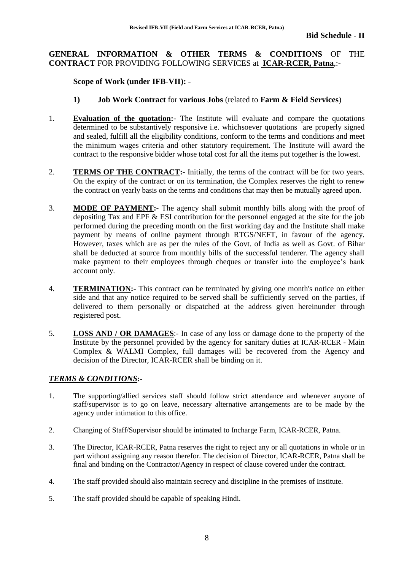#### **GENERAL INFORMATION & OTHER TERMS & CONDITIONS** OF THE **CONTRACT** FOR PROVIDING FOLLOWING SERVICES at **ICAR-RCER, Patna**,:-

#### **Scope of Work (under IFB-VII): -**

#### **1) Job Work Contract** for **various Jobs** (related to **Farm & Field Services**)

- 1. **Evaluation of the quotation:-** The Institute will evaluate and compare the quotations determined to be substantively responsive i.e. whichsoever quotations are properly signed and sealed, fulfill all the eligibility conditions, conform to the terms and conditions and meet the minimum wages criteria and other statutory requirement. The Institute will award the contract to the responsive bidder whose total cost for all the items put together is the lowest.
- 2. **TERMS OF THE CONTRACT:-** Initially, the terms of the contract will be for two years. On the expiry of the contract or on its termination, the Complex reserves the right to renew the contract on yearly basis on the terms and conditions that may then be mutually agreed upon.
- 3. **MODE OF PAYMENT:-** The agency shall submit monthly bills along with the proof of depositing Tax and EPF & ESI contribution for the personnel engaged at the site for the job performed during the preceding month on the first working day and the Institute shall make payment by means of online payment through RTGS/NEFT, in favour of the agency. However, taxes which are as per the rules of the Govt. of India as well as Govt. of Bihar shall be deducted at source from monthly bills of the successful tenderer. The agency shall make payment to their employees through cheques or transfer into the employee's bank account only.
- 4. **TERMINATION:-** This contract can be terminated by giving one month's notice on either side and that any notice required to be served shall be sufficiently served on the parties, if delivered to them personally or dispatched at the address given hereinunder through registered post.
- 5. **LOSS AND / OR DAMAGES**:- In case of any loss or damage done to the property of the Institute by the personnel provided by the agency for sanitary duties at ICAR-RCER - Main Complex & WALMI Complex, full damages will be recovered from the Agency and decision of the Director, ICAR-RCER shall be binding on it.

#### *TERMS & CONDITIONS***:-**

- 1. The supporting/allied services staff should follow strict attendance and whenever anyone of staff/supervisor is to go on leave, necessary alternative arrangements are to be made by the agency under intimation to this office.
- 2. Changing of Staff/Supervisor should be intimated to Incharge Farm, ICAR-RCER, Patna.
- 3. The Director, ICAR-RCER, Patna reserves the right to reject any or all quotations in whole or in part without assigning any reason therefor. The decision of Director, ICAR-RCER, Patna shall be final and binding on the Contractor/Agency in respect of clause covered under the contract.
- 4. The staff provided should also maintain secrecy and discipline in the premises of Institute.
- 5. The staff provided should be capable of speaking Hindi.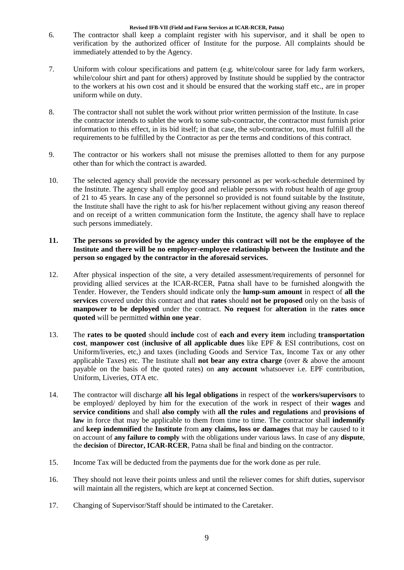- 6. The contractor shall keep a complaint register with his supervisor, and it shall be open to verification by the authorized officer of Institute for the purpose. All complaints should be immediately attended to by the Agency.
- 7. Uniform with colour specifications and pattern (e.g. white/colour saree for lady farm workers, while/colour shirt and pant for others) approved by Institute should be supplied by the contractor to the workers at his own cost and it should be ensured that the working staff etc., are in proper uniform while on duty.
- 8. The contractor shall not sublet the work without prior written permission of the Institute. In case the contractor intends to sublet the work to some sub-contractor, the contractor must furnish prior information to this effect, in its bid itself; in that case, the sub-contractor, too, must fulfill all the requirements to be fulfilled by the Contractor as per the terms and conditions of this contract.
- 9. The contractor or his workers shall not misuse the premises allotted to them for any purpose other than for which the contract is awarded.
- 10. The selected agency shall provide the necessary personnel as per work-schedule determined by the Institute. The agency shall employ good and reliable persons with robust health of age group of 21 to 45 years. In case any of the personnel so provided is not found suitable by the Institute, the Institute shall have the right to ask for his/her replacement without giving any reason thereof and on receipt of a written communication form the Institute, the agency shall have to replace such persons immediately.

#### **11. The persons so provided by the agency under this contract will not be the employee of the Institute and there will be no employer-employee relationship between the Institute and the person so engaged by the contractor in the aforesaid services.**

- 12. After physical inspection of the site, a very detailed assessment/requirements of personnel for providing allied services at the ICAR-RCER, Patna shall have to be furnished alongwith the Tender. However, the Tenders should indicate only the **lump-sum amount** in respect of **all the services** covered under this contract and that **rates** should **not be proposed** only on the basis of **manpower to be deployed** under the contract. **No request** for **alteration** in the **rates once quoted** will be permitted **within one year**.
- 13. The **rates to be quoted** should **include** cost of **each and every item** including **transportation cost**, **manpower cost** (**inclusive of all applicable dues** like EPF & ESI contributions, cost on Uniform/liveries, etc,) and taxes (including Goods and Service Tax, Income Tax or any other applicable Taxes) etc. The Institute shall **not bear any extra charge** (over & above the amount payable on the basis of the quoted rates) on **any account** whatsoever i.e. EPF contribution, Uniform, Liveries, OTA etc.
- 14. The contractor will discharge **all his legal obligations** in respect of the **workers/supervisors** to be employed/ deployed by him for the execution of the work in respect of their **wages** and **service conditions** and shall **also comply** with **all the rules and regulations** and **provisions of law** in force that may be applicable to them from time to time. The contractor shall **indemnify** and **keep indemnified** the **Institute** from **any claims, loss or damages** that may be caused to it on account of **any failure to comply** with the obligations under various laws. In case of any **dispute**, the **decision** of **Director, ICAR-RCER**, Patna shall be final and binding on the contractor.
- 15. Income Tax will be deducted from the payments due for the work done as per rule.
- 16. They should not leave their points unless and until the reliever comes for shift duties, supervisor will maintain all the registers, which are kept at concerned Section.
- 17. Changing of Supervisor/Staff should be intimated to the Caretaker.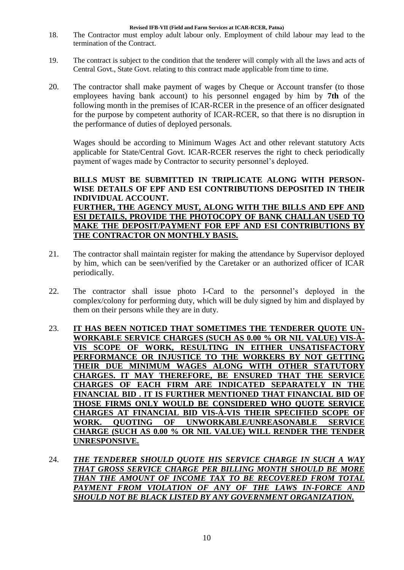- 18. The Contractor must employ adult labour only. Employment of child labour may lead to the termination of the Contract.
- 19. The contract is subject to the condition that the tenderer will comply with all the laws and acts of Central Govt., State Govt. relating to this contract made applicable from time to time.
- 20. The contractor shall make payment of wages by Cheque or Account transfer (to those employees having bank account) to his personnel engaged by him by **7th** of the following month in the premises of ICAR-RCER in the presence of an officer designated for the purpose by competent authority of ICAR-RCER, so that there is no disruption in the performance of duties of deployed personals.

Wages should be according to Minimum Wages Act and other relevant statutory Acts applicable for State/Central Govt. ICAR-RCER reserves the right to check periodically payment of wages made by Contractor to security personnel"s deployed.

# **BILLS MUST BE SUBMITTED IN TRIPLICATE ALONG WITH PERSON-WISE DETAILS OF EPF AND ESI CONTRIBUTIONS DEPOSITED IN THEIR INDIVIDUAL ACCOUNT.**

**FURTHER, THE AGENCY MUST, ALONG WITH THE BILLS AND EPF AND ESI DETAILS, PROVIDE THE PHOTOCOPY OF BANK CHALLAN USED TO MAKE THE DEPOSIT/PAYMENT FOR EPF AND ESI CONTRIBUTIONS BY THE CONTRACTOR ON MONTHLY BASIS.**

- 21. The contractor shall maintain register for making the attendance by Supervisor deployed by him, which can be seen/verified by the Caretaker or an authorized officer of ICAR periodically.
- 22. The contractor shall issue photo I-Card to the personnel"s deployed in the complex/colony for performing duty, which will be duly signed by him and displayed by them on their persons while they are in duty.
- 23. **IT HAS BEEN NOTICED THAT SOMETIMES THE TENDERER QUOTE UN-WORKABLE SERVICE CHARGES (SUCH AS 0.00 % OR NIL VALUE) VIS-À-VIS SCOPE OF WORK, RESULTING IN EITHER UNSATISFACTORY PERFORMANCE OR INJUSTICE TO THE WORKERS BY NOT GETTING THEIR DUE MINIMUM WAGES ALONG WITH OTHER STATUTORY CHARGES. IT MAY THEREFORE, BE ENSURED THAT THE SERVICE CHARGES OF EACH FIRM ARE INDICATED SEPARATELY IN THE FINANCIAL BID . IT IS FURTHER MENTIONED THAT FINANCIAL BID OF THOSE FIRMS ONLY WOULD BE CONSIDERED WHO QUOTE SERVICE CHARGES AT FINANCIAL BID VIS-À-VIS THEIR SPECIFIED SCOPE OF WORK. QUOTING OF UNWORKABLE/UNREASONABLE SERVICE CHARGE (SUCH AS 0.00 % OR NIL VALUE) WILL RENDER THE TENDER UNRESPONSIVE.**
- 24. *THE TENDERER SHOULD QUOTE HIS SERVICE CHARGE IN SUCH A WAY THAT GROSS SERVICE CHARGE PER BILLING MONTH SHOULD BE MORE THAN THE AMOUNT OF INCOME TAX TO BE RECOVERED FROM TOTAL PAYMENT FROM VIOLATION OF ANY OF THE LAWS IN-FORCE AND SHOULD NOT BE BLACK LISTED BY ANY GOVERNMENT ORGANIZATION.*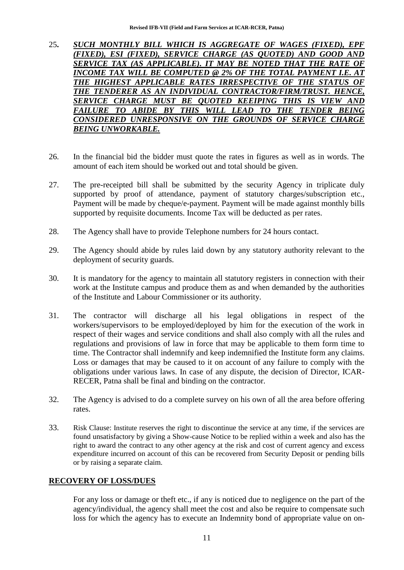- 25**.** *SUCH MONTHLY BILL WHICH IS AGGREGATE OF WAGES (FIXED), EPF (FIXED), ESI (FIXED), SERVICE CHARGE (AS QUOTED) AND GOOD AND*  **SERVICE TAX (AS APPLICABLE). IT MAY BE NOTED THAT THE RATE OF** *INCOME TAX WILL BE COMPUTED @ 2% OF THE TOTAL PAYMENT I.E. AT*  THE HIGHEST APPLICABLE RATES IRRESPECTIVE OF THE STATUS OF *THE TENDERER AS AN INDIVIDUAL CONTRACTOR/FIRM/TRUST. HENCE, SERVICE CHARGE MUST BE QUOTED KEEIPING THIS IS VIEW AND FAILURE TO ABIDE BY THIS WILL LEAD TO THE TENDER BEING CONSIDERED UNRESPONSIVE ON THE GROUNDS OF SERVICE CHARGE BEING UNWORKABLE.*
- 26. In the financial bid the bidder must quote the rates in figures as well as in words. The amount of each item should be worked out and total should be given.
- 27. The pre-receipted bill shall be submitted by the security Agency in triplicate duly supported by proof of attendance, payment of statutory charges/subscription etc., Payment will be made by cheque/e-payment. Payment will be made against monthly bills supported by requisite documents. Income Tax will be deducted as per rates.
- 28. The Agency shall have to provide Telephone numbers for 24 hours contact.
- 29. The Agency should abide by rules laid down by any statutory authority relevant to the deployment of security guards.
- 30. It is mandatory for the agency to maintain all statutory registers in connection with their work at the Institute campus and produce them as and when demanded by the authorities of the Institute and Labour Commissioner or its authority.
- 31. The contractor will discharge all his legal obligations in respect of the workers/supervisors to be employed/deployed by him for the execution of the work in respect of their wages and service conditions and shall also comply with all the rules and regulations and provisions of law in force that may be applicable to them form time to time. The Contractor shall indemnify and keep indemnified the Institute form any claims. Loss or damages that may be caused to it on account of any failure to comply with the obligations under various laws. In case of any dispute, the decision of Director, ICAR-RECER, Patna shall be final and binding on the contractor.
- 32. The Agency is advised to do a complete survey on his own of all the area before offering rates.
- 33. Risk Clause: Institute reserves the right to discontinue the service at any time, if the services are found unsatisfactory by giving a Show-cause Notice to be replied within a week and also has the right to award the contract to any other agency at the risk and cost of current agency and excess expenditure incurred on account of this can be recovered from Security Deposit or pending bills or by raising a separate claim.

#### **RECOVERY OF LOSS/DUES**

For any loss or damage or theft etc., if any is noticed due to negligence on the part of the agency/individual, the agency shall meet the cost and also be require to compensate such loss for which the agency has to execute an Indemnity bond of appropriate value on on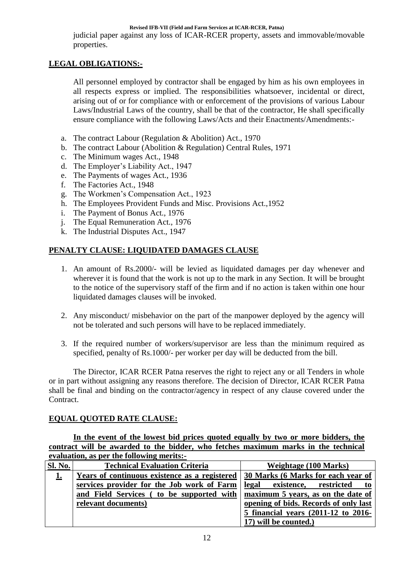judicial paper against any loss of ICAR-RCER property, assets and immovable/movable properties.

# **LEGAL OBLIGATIONS:-**

All personnel employed by contractor shall be engaged by him as his own employees in all respects express or implied. The responsibilities whatsoever, incidental or direct, arising out of or for compliance with or enforcement of the provisions of various Labour Laws/Industrial Laws of the country, shall be that of the contractor, He shall specifically ensure compliance with the following Laws/Acts and their Enactments/Amendments:-

- a. The contract Labour (Regulation & Abolition) Act., 1970
- b. The contract Labour (Abolition & Regulation) Central Rules, 1971
- c. The Minimum wages Act., 1948
- d. The Employer"s Liability Act., 1947
- e. The Payments of wages Act., 1936
- f. The Factories Act., 1948
- g. The Workmen"s Compensation Act., 1923
- h. The Employees Provident Funds and Misc. Provisions Act.,1952
- i. The Payment of Bonus Act., 1976
- j. The Equal Remuneration Act., 1976
- k. The Industrial Disputes Act., 1947

## **PENALTY CLAUSE: LIQUIDATED DAMAGES CLAUSE**

- 1. An amount of Rs.2000/- will be levied as liquidated damages per day whenever and wherever it is found that the work is not up to the mark in any Section. It will be brought to the notice of the supervisory staff of the firm and if no action is taken within one hour liquidated damages clauses will be invoked.
- 2. Any misconduct/ misbehavior on the part of the manpower deployed by the agency will not be tolerated and such persons will have to be replaced immediately.
- 3. If the required number of workers/supervisor are less than the minimum required as specified, penalty of Rs.1000/- per worker per day will be deducted from the bill.

The Director, ICAR RCER Patna reserves the right to reject any or all Tenders in whole or in part without assigning any reasons therefore. The decision of Director, ICAR RCER Patna shall be final and binding on the contractor/agency in respect of any clause covered under the Contract.

## **EQUAL QUOTED RATE CLAUSE:**

**In the event of the lowest bid prices quoted equally by two or more bidders, the contract will be awarded to the bidder, who fetches maximum marks in the technical evaluation, as per the following merits:-**

| <b>Sl. No.</b> | <b>Technical Evaluation Criteria</b>          | <b>Weightage (100 Marks)</b>          |
|----------------|-----------------------------------------------|---------------------------------------|
| <u>1.</u>      | Years of continuous existence as a registered | 30 Marks (6 Marks for each year of    |
|                | services provider for the Job work of Farm    | legal existence,<br>restricted<br>to  |
|                | and Field Services (to be supported with      | maximum 5 years, as on the date of    |
|                | relevant documents)                           | opening of bids. Records of only last |
|                |                                               | 5 financial years (2011-12 to 2016-   |
|                |                                               | 17) will be counted.)                 |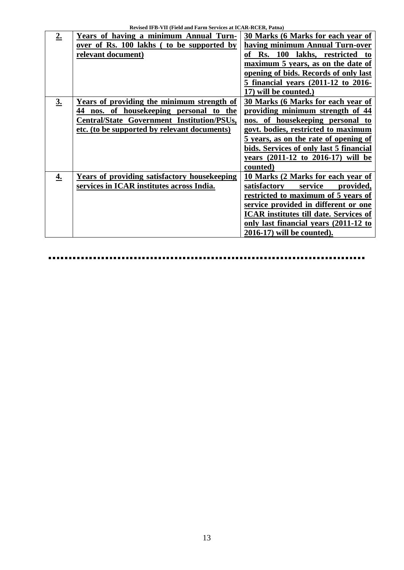| 2. | Years of having a minimum Annual Turn-       | 30 Marks (6 Marks for each year of            |
|----|----------------------------------------------|-----------------------------------------------|
|    |                                              |                                               |
|    | over of Rs. 100 lakhs (to be supported by    | having minimum Annual Turn-over               |
|    | relevant document)                           | of Rs. 100 lakhs, restricted to               |
|    |                                              | maximum 5 years, as on the date of            |
|    |                                              | opening of bids. Records of only last         |
|    |                                              | 5 financial years (2011-12 to 2016-           |
|    |                                              | 17) will be counted.)                         |
| 3. | Years of providing the minimum strength of   | 30 Marks (6 Marks for each year of            |
|    | 44 nos. of housekeeping personal to the      | providing minimum strength of 44              |
|    | Central/State Government Institution/PSUs,   | nos. of housekeeping personal to              |
|    | etc. (to be supported by relevant documents) | govt. bodies, restricted to maximum           |
|    |                                              | 5 years, as on the rate of opening of         |
|    |                                              | bids. Services of only last 5 financial       |
|    |                                              | years (2011-12 to 2016-17) will be            |
|    |                                              | counted)                                      |
| 4. | Years of providing satisfactory housekeeping | 10 Marks (2 Marks for each year of            |
|    | services in ICAR institutes across India.    | satisfactory service<br>provided,             |
|    |                                              | restricted to maximum of 5 years of           |
|    |                                              | service provided in different or one          |
|    |                                              | <b>ICAR</b> institutes till date. Services of |
|    |                                              | only last financial years (2011-12 to         |
|    |                                              | 2016-17) will be counted).                    |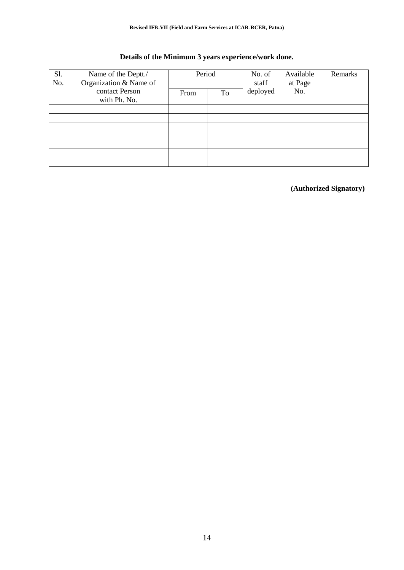| Details of the Minimum 3 years experience/work done. |  |
|------------------------------------------------------|--|
|                                                      |  |

| Sl. | Name of the Deptt./    | Period |    | No. of   | Available | Remarks |
|-----|------------------------|--------|----|----------|-----------|---------|
| No. | Organization & Name of |        |    | staff    | at Page   |         |
|     | contact Person         | From   | To | deployed | No.       |         |
|     | with Ph. No.           |        |    |          |           |         |
|     |                        |        |    |          |           |         |
|     |                        |        |    |          |           |         |
|     |                        |        |    |          |           |         |
|     |                        |        |    |          |           |         |
|     |                        |        |    |          |           |         |
|     |                        |        |    |          |           |         |
|     |                        |        |    |          |           |         |

**(Authorized Signatory)**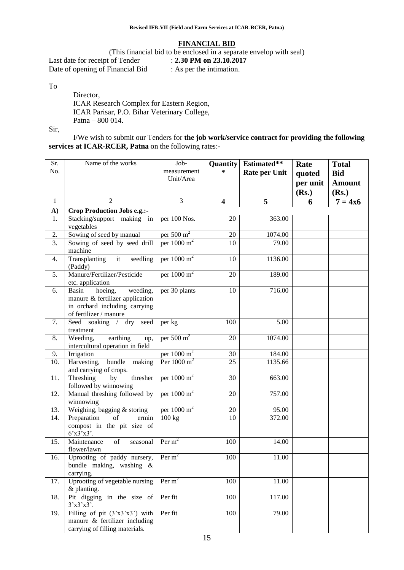#### **FINANCIAL BID**

(This financial bid to be enclosed in a separate envelop with seal)<br>t of Tender :  $2.30 \text{ PM}$  on  $23.10.2017$ Last date for receipt of Tender

Date of opening of Financial Bid : As per the intimation.

To

Director, ICAR Research Complex for Eastern Region, ICAR Parisar, P.O. Bihar Veterinary College, Patna – 800 014.

Sir,

I/We wish to submit our Tenders for **the job work/service contract for providing the following services at ICAR-RCER, Patna** on the following rates:-

| Sr.<br>No.       | Name of the works                                                                                                          | Job-<br>measurement<br>Unit/Area | <b>Quantity</b><br>*    | Estimated**<br><b>Rate per Unit</b> | Rate<br>quoted<br>per unit<br>(Rs.) | <b>Total</b><br><b>Bid</b><br><b>Amount</b><br>(Rs.) |
|------------------|----------------------------------------------------------------------------------------------------------------------------|----------------------------------|-------------------------|-------------------------------------|-------------------------------------|------------------------------------------------------|
| $\mathbf{1}$     | $\overline{2}$                                                                                                             | 3                                | $\overline{\mathbf{4}}$ | 5                                   | 6                                   | $7 = 4x6$                                            |
| A)               | Crop Production Jobs e.g.:-                                                                                                |                                  |                         |                                     |                                     |                                                      |
| 1.               | Stacking/support making in<br>vegetables                                                                                   | per 100 Nos.                     | 20                      | 363.00                              |                                     |                                                      |
| 2.               | Sowing of seed by manual                                                                                                   | per $500 \text{ m}^2$            | 20                      | 1074.00                             |                                     |                                                      |
| $\overline{3}$ . | Sowing of seed by seed drill<br>machine                                                                                    | per $1000 \text{ m}^2$           | 10                      | 79.00                               |                                     |                                                      |
| 4.               | Transplanting<br>seedling<br>it<br>(Paddy)                                                                                 | per $1000 \text{ m}^2$           | 10                      | 1136.00                             |                                     |                                                      |
| 5.               | Manure/Fertilizer/Pesticide<br>etc. application                                                                            | per $1000 \text{ m}^2$           | 20                      | 189.00                              |                                     |                                                      |
| 6.               | Basin<br>weeding,<br>hoeing,<br>manure & fertilizer application<br>in orchard including carrying<br>of fertilizer / manure | per 30 plants                    | 10                      | 716.00                              |                                     |                                                      |
| 7.               | Seed soaking / dry<br>seed<br>treatment                                                                                    | per kg                           | 100                     | 5.00                                |                                     |                                                      |
| 8.               | Weeding,<br>earthing<br>up,<br>intercultural operation in field                                                            | per $500 \text{ m}^2$            | 20                      | 1074.00                             |                                     |                                                      |
| 9.               | Irrigation                                                                                                                 | per $1000 \text{ m}^2$           | 30                      | 184.00                              |                                     |                                                      |
| 10.              | bundle making<br>Harvesting,<br>and carrying of crops.                                                                     | Per $1000 \text{ m}^2$           | 25                      | 1135.66                             |                                     |                                                      |
| 11.              | Threshing<br>thresher<br>by<br>followed by winnowing                                                                       | per 1000 m <sup>2</sup>          | 30                      | 663.00                              |                                     |                                                      |
| 12.              | Manual threshing followed by<br>winnowing                                                                                  | per $1000 \text{ m}^2$           | 20                      | 757.00                              |                                     |                                                      |
| 13.              | Weighing, bagging & storing                                                                                                | per $1000 \text{ m}^2$           | 20                      | 95.00                               |                                     |                                                      |
| 14.              | Preparation<br>of<br>ermin<br>compost in the pit size of<br>6'x3'x3'.                                                      | 100 kg                           | 10                      | 372.00                              |                                     |                                                      |
| 15.              | Maintenance<br>of<br>seasonal<br>flower/lawn                                                                               | Per $m2$                         | 100                     | 14.00                               |                                     |                                                      |
| 16.              | Uprooting of paddy nursery, $\sqrt{Per m^2}$<br>bundle making, washing &<br>carrying.                                      |                                  | 100                     | 11.00                               |                                     |                                                      |
| 17.              | Uprooting of vegetable nursing<br>& planting.                                                                              | Per $m2$                         | 100                     | 11.00                               |                                     |                                                      |
| 18.              | Pit digging in the size of<br>3'x3'x3'.                                                                                    | Per fit                          | 100                     | 117.00                              |                                     |                                                      |
| 19.              | Filling of pit $(3'x3'x3')$ with<br>manure $\&$ fertilizer including<br>carrying of filling materials.                     | Per fit                          | 100                     | 79.00                               |                                     |                                                      |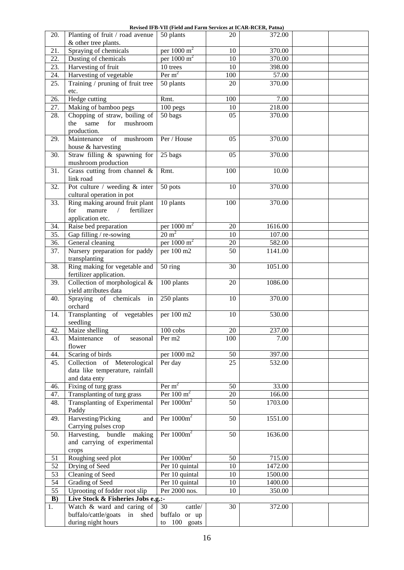**Revised IFB-VII (Field and Farm Services at ICAR-RCER, Patna)**

| 20.             | Planting of fruit / road avenue                                                    | Revised If D'Y II (FIGH and Farm Set vices at ICAR-RCER, I atna)<br>50 plants | 20              | 372.00          |  |
|-----------------|------------------------------------------------------------------------------------|-------------------------------------------------------------------------------|-----------------|-----------------|--|
|                 | & other tree plants.                                                               |                                                                               |                 |                 |  |
| 21.             | Spraying of chemicals                                                              | per $1000 \text{ m}^2$                                                        | 10              | 370.00          |  |
| 22.             | Dusting of chemicals                                                               | per $1000 \text{ m}^2$                                                        | 10              | 370.00          |  |
| 23.             | Harvesting of fruit                                                                | 10 trees                                                                      | 10              | 398.00          |  |
| 24.             | Harvesting of vegetable                                                            | Per $m2$                                                                      | 100<br>20       | 57.00<br>370.00 |  |
| 25.             | Training / pruning of fruit tree<br>etc.                                           | 50 plants                                                                     |                 |                 |  |
| 26.             | Hedge cutting                                                                      | Rmt.                                                                          | 100             | 7.00            |  |
| 27.             | Making of bamboo pegs                                                              | 100 pegs                                                                      | 10              | 218.00          |  |
| 28.             | Chopping of straw, boiling of<br>the same<br>for<br>mushroom<br>production.        | 50 bags                                                                       | 05              | 370.00          |  |
| 29.             | Maintenance<br>mushroom<br>of<br>house & harvesting                                | Per / House                                                                   | 05              | 370.00          |  |
| 30.             | Straw filling & spawning for<br>mushroom production                                | 25 bags                                                                       | 05              | 370.00          |  |
| 31.             | Grass cutting from channel &<br>link road                                          | Rmt.                                                                          | 100             | 10.00           |  |
| 32.             | Pot culture / weeding $&$ inter<br>cultural operation in pot                       | $50$ pots                                                                     | 10              | 370.00          |  |
| 33.             | Ring making around fruit plant<br>for manure $/$<br>fertilizer<br>application etc. | 10 plants                                                                     | 100             | 370.00          |  |
| 34.             | Raise bed preparation                                                              | per $1000 \text{ m}^2$                                                        | 20              | 1616.00         |  |
| 35.             | Gap filling / re-sowing                                                            | $20 \text{ m}^2$                                                              | 10              | 107.00          |  |
| 36.             | General cleaning                                                                   | per $1000 \text{ m}^2$                                                        | 20              | 582.00          |  |
| 37.             | Nursery preparation for paddy<br>transplanting                                     | per 100 m2                                                                    | 50              | 1141.00         |  |
| 38.             | Ring making for vegetable and<br>fertilizer application.                           | 50 ring                                                                       | 30              | 1051.00         |  |
| 39.             | Collection of morphological &<br>yield attributes data                             | 100 plants                                                                    | 20              | 1086.00         |  |
| 40.             | Spraying of chemicals in<br>orchard                                                | 250 plants                                                                    | 10              | 370.00          |  |
| 14.             | Transplanting of vegetables<br>seedling                                            | per 100 m2                                                                    | 10              | 530.00          |  |
| 42.             | Maize shelling                                                                     | 100 cobs                                                                      | 20              | 237.00          |  |
| 43.             | Maintenance<br>of<br>seasonal<br>flower                                            | Per m2                                                                        | 100             | 7.00            |  |
| 44.             | Scaring of birds                                                                   | per 1000 m2                                                                   | 50              | 397.00          |  |
| 45.             | Collection of Meterological<br>data like temperature, rainfall<br>and data enty    | Per day                                                                       | 25              | 532.00          |  |
| 46.             | Fixing of turg grass                                                               | Per $m2$                                                                      | 50              | 33.00           |  |
| 47.             | Transplanting of turg grass                                                        | Per $100 \text{ m}^2$                                                         | $\overline{20}$ | 166.00          |  |
| 48.             | Transplanting of Experimental<br>Paddy                                             | Per $1000m^2$                                                                 | 50              | 1703.00         |  |
| 49.             | Harvesting/Picking<br>and<br>Carrying pulses crop                                  | Per $1000m^2$                                                                 | 50              | 1551.00         |  |
| 50.             | Harvesting, bundle<br>making<br>and carrying of experimental<br>crops              | Per $1000m^2$                                                                 | 50              | 1636.00         |  |
| 51              | Roughing seed plot                                                                 | Per $1000m^2$                                                                 | 50              | 715.00          |  |
| $\overline{52}$ | Drying of Seed                                                                     | Per 10 quintal                                                                | 10              | 1472.00         |  |
| 53              | Cleaning of Seed                                                                   | Per 10 quintal                                                                | 10              | 1500.00         |  |
| 54              | <b>Grading of Seed</b>                                                             | Per 10 quintal                                                                | 10              | 1400.00         |  |
| 55              | Uprooting of fodder root slip                                                      | Per 2000 nos.                                                                 | 10              | 350.00          |  |
| B)<br>1.        | Live Stock & Fisheries Jobs e.g.:-<br>Watch & ward and caring of                   | 30<br>cattle/                                                                 | 30              | 372.00          |  |
|                 | buffalo/cattle/goats<br>in shed                                                    | buffalo or up                                                                 |                 |                 |  |
|                 | during night hours                                                                 | to 100 goats                                                                  |                 |                 |  |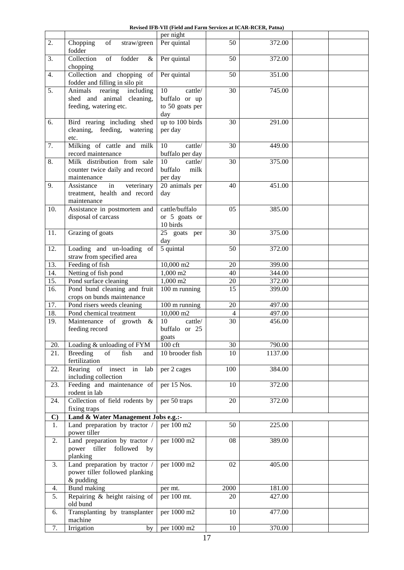|  | Revised IFB-VII (Field and Farm Services at ICAR-RCER. Patna) |  |  |  |
|--|---------------------------------------------------------------|--|--|--|
|--|---------------------------------------------------------------|--|--|--|

|              |                                                                                | per night                                     |                |         |  |
|--------------|--------------------------------------------------------------------------------|-----------------------------------------------|----------------|---------|--|
| 2.           | of<br>straw/green<br>Chopping<br>fodder                                        | Per quintal                                   | 50             | 372.00  |  |
| 3.           | Collection<br>fodder<br>of<br>$\&$<br>chopping                                 | Per quintal                                   | 50             | 372.00  |  |
| 4.           | Collection and chopping<br>of<br>fodder and filling in silo pit                | Per quintal                                   | 50             | 351.00  |  |
| 5.           | Animals<br>including<br>rearing                                                | 10<br>cattle/                                 | 30             | 745.00  |  |
|              | shed and animal cleaning,<br>feeding, watering etc.                            | buffalo or up<br>to 50 goats per<br>day       |                |         |  |
| 6.           | Bird rearing including shed<br>cleaning, feeding, watering<br>etc.             | up to 100 birds<br>per day                    | 30             | 291.00  |  |
| 7.           | Milking of cattle and milk<br>record maintenance                               | $\overline{10}$<br>cattle/<br>buffalo per day | 30             | 449.00  |  |
| 8.           | Milk distribution from sale<br>counter twice daily and record<br>maintenance   | 10<br>cattle/<br>buffalo<br>milk<br>per day   | 30             | 375.00  |  |
| 9.           | veterinary<br>Assistance<br>in<br>treatment, health and record<br>maintenance  | 20 animals per<br>day                         | 40             | 451.00  |  |
| 10.          | Assistance in postmortem and<br>disposal of carcass                            | cattle/buffalo<br>or 5 goats or<br>10 birds   | 05             | 385.00  |  |
| 11.          | Grazing of goats                                                               | 25 goats per<br>day                           | 30             | 375.00  |  |
| 12.          | Loading and un-loading of<br>straw from specified area                         | 5 quintal                                     | 50             | 372.00  |  |
| 13.          | Feeding of fish                                                                | 10,000 m2                                     | 20             | 399.00  |  |
| 14.          | Netting of fish pond                                                           | 1,000 m2                                      | 40             | 344.00  |  |
| 15.          | Pond surface cleaning                                                          | $1,000 \text{ m}$ 2                           | 20             | 372.00  |  |
| 16.          | Pond bund cleaning and fruit<br>crops on bunds maintenance                     | $\overline{100}$ m running                    | 15             | 399.00  |  |
| 17.          | Pond risers weeds cleaning                                                     | 100 m running                                 | 20             | 497.00  |  |
| 18.          | Pond chemical treatment                                                        | 10,000 m2                                     | $\overline{4}$ | 497.00  |  |
| 19.          | Maintenance of growth<br>$\&$<br>feeding record                                | 10<br>cattle/<br>buffalo or 25<br>goats       | 30             | 456.00  |  |
| 20.          | Loading & unloading of FYM                                                     | 100 cft                                       | 30             | 790.00  |  |
| 21.          | <b>Breeding</b><br>of<br>fish<br>and<br>fertilization                          | 10 brooder fish                               | 10             | 1137.00 |  |
| 22.          | Rearing of insect in lab<br>including collection                               | per 2 cages                                   | 100            | 384.00  |  |
| 23.          | Feeding and maintenance of<br>rodent in lab                                    | per 15 Nos.                                   | 10             | 372.00  |  |
| 24.          | Collection of field rodents by<br>fixing traps                                 | per 50 traps                                  | 20             | 372.00  |  |
| $\mathbf{C}$ | Land & Water Management Jobs e.g.:-                                            |                                               |                |         |  |
| 1.           | Land preparation by tractor /<br>power tiller                                  | per 100 m <sup>2</sup>                        | 50             | 225.00  |  |
| 2.           | Land preparation by tractor /<br>tiller<br>followed<br>power<br>by<br>planking | per 1000 m2                                   | 08             | 389.00  |  |
| 3.           | Land preparation by tractor /<br>power tiller followed planking<br>& pudding   | per 1000 m2                                   | 02             | 405.00  |  |
| 4.           | Bund making                                                                    | per mt.                                       | 2000           | 181.00  |  |
| 5.           | Repairing & height raising of<br>old bund                                      | per 100 mt.                                   | 20             | 427.00  |  |
| 6.           | Transplanting by transplanter<br>machine                                       | per 1000 m2                                   | 10             | 477.00  |  |
| 7.           | Irrigation<br>by                                                               | per 1000 m2                                   | 10             | 370.00  |  |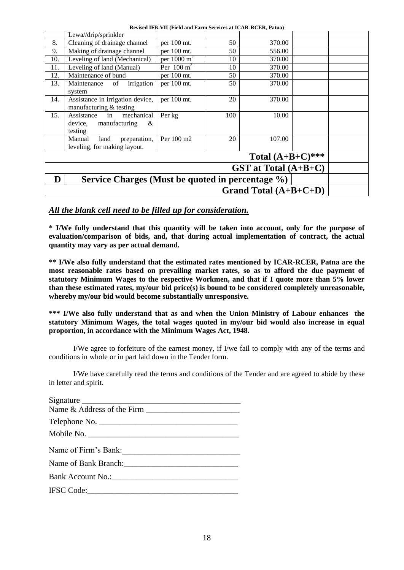**Revised IFB-VII (Field and Farm Services at ICAR-RCER, Patna)**

|     |                                                                            | WIRE IT D- TH TERR and Farm bet Trees at IC/IN-WCEAN Fatha) |     |                         |  |
|-----|----------------------------------------------------------------------------|-------------------------------------------------------------|-----|-------------------------|--|
|     | Lewa//drip/sprinkler                                                       |                                                             |     |                         |  |
| 8.  | Cleaning of drainage channel                                               | per 100 mt.                                                 | 50  | 370.00                  |  |
| 9.  | Making of drainage channel                                                 | per 100 mt.                                                 | 50  | 556.00                  |  |
| 10. | Leveling of land (Mechanical)                                              | per $1000 \text{ m}^2$                                      | 10  | 370.00                  |  |
| 11. | Leveling of land (Manual)                                                  | Per $100 \text{ m}^2$                                       | 10  | 370.00                  |  |
| 12. | Maintenance of bund                                                        | per 100 mt.                                                 | 50  | 370.00                  |  |
| 13. | irrigation<br>Maintenance of<br>system                                     | per 100 mt.                                                 | 50  | 370.00                  |  |
| 14. | Assistance in irrigation device,<br>manufacturing & testing                | per $100$ mt.                                               | 20  | 370.00                  |  |
| 15. | mechanical<br>Assistance<br>in<br>manufacturing<br>device,<br>&<br>testing | Per kg                                                      | 100 | 10.00                   |  |
|     | Manual<br>preparation,<br>land<br>leveling, for making layout.             | Per 100 m2                                                  | 20  | 107.00                  |  |
|     |                                                                            |                                                             |     | Total $(A+B+C)***$      |  |
|     |                                                                            |                                                             |     | GST at Total $(A+B+C)$  |  |
| D   | Service Charges (Must be quoted in percentage %)                           |                                                             |     |                         |  |
|     |                                                                            |                                                             |     | Grand Total $(A+B+C+D)$ |  |

#### *All the blank cell need to be filled up for consideration.*

**\* I/We fully understand that this quantity will be taken into account, only for the purpose of evaluation/comparison of bids, and, that during actual implementation of contract, the actual quantity may vary as per actual demand.**

**\*\* I/We also fully understand that the estimated rates mentioned by ICAR-RCER, Patna are the most reasonable rates based on prevailing market rates, so as to afford the due payment of statutory Minimum Wages to the respective Workmen, and that if I quote more than 5% lower than these estimated rates, my/our bid price(s) is bound to be considered completely unreasonable, whereby my/our bid would become substantially unresponsive.**

**\*\*\* I/We also fully understand that as and when the Union Ministry of Labour enhances the statutory Minimum Wages, the total wages quoted in my/our bid would also increase in equal proportion, in accordance with the Minimum Wages Act, 1948.**

I/We agree to forfeiture of the earnest money, if I/we fail to comply with any of the terms and conditions in whole or in part laid down in the Tender form.

I/We have carefully read the terms and conditions of the Tender and are agreed to abide by these in letter and spirit.

| Signature              |
|------------------------|
|                        |
| Telephone No.          |
| Mobile No.             |
| Name of Firm's Bank:   |
|                        |
|                        |
|                        |
| Bank Account No.: 1986 |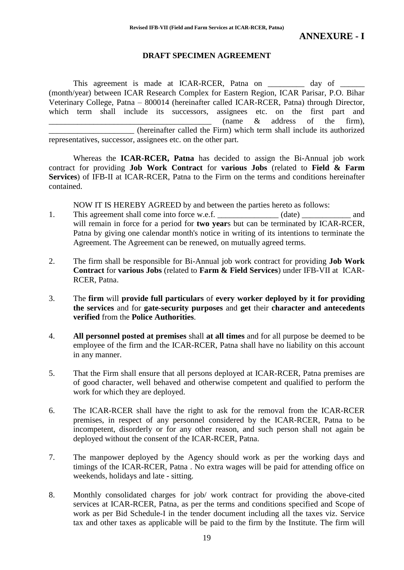#### **DRAFT SPECIMEN AGREEMENT**

This agreement is made at ICAR-RCER, Patna on \_\_\_\_\_\_\_\_\_ day of \_ (month/year) between ICAR Research Complex for Eastern Region, ICAR Parisar, P.O. Bihar Veterinary College, Patna – 800014 (hereinafter called ICAR-RCER, Patna) through Director, which term shall include its successors, assignees etc. on the first part and  $\frac{1}{2}$  (name & address of the firm), \_\_\_\_\_\_\_\_\_\_\_\_\_\_\_\_\_\_\_\_\_ (hereinafter called the Firm) which term shall include its authorized representatives, successor, assignees etc. on the other part.

Whereas the **ICAR-RCER, Patna** has decided to assign the Bi-Annual job work contract for providing **Job Work Contract** for **various Jobs** (related to **Field & Farm Services**) of IFB-II at ICAR-RCER, Patna to the Firm on the terms and conditions hereinafter contained.

NOW IT IS HEREBY AGREED by and between the parties hereto as follows:

- 1. This agreement shall come into force w.e.f. \_\_\_\_\_\_\_\_\_\_\_\_\_ (date) \_\_\_\_\_\_\_\_\_\_\_\_ and will remain in force for a period for **two year**s but can be terminated by ICAR-RCER, Patna by giving one calendar month's notice in writing of its intentions to terminate the Agreement. The Agreement can be renewed, on mutually agreed terms.
- 2. The firm shall be responsible for Bi-Annual job work contract for providing **Job Work Contract** for **various Jobs** (related to **Farm & Field Services**) under IFB-VII at ICAR-RCER, Patna.
- 3. The **firm** will **provide full particulars** of **every worker deployed by it for providing the services** and for **gate-security purposes** and **get** their **character and antecedents verified** from the **Police Authorities**.
- 4. **All personnel posted at premises** shall **at all times** and for all purpose be deemed to be employee of the firm and the ICAR-RCER, Patna shall have no liability on this account in any manner.
- 5. That the Firm shall ensure that all persons deployed at ICAR-RCER, Patna premises are of good character, well behaved and otherwise competent and qualified to perform the work for which they are deployed.
- 6. The ICAR-RCER shall have the right to ask for the removal from the ICAR-RCER premises, in respect of any personnel considered by the ICAR-RCER, Patna to be incompetent, disorderly or for any other reason, and such person shall not again be deployed without the consent of the ICAR-RCER, Patna.
- 7. The manpower deployed by the Agency should work as per the working days and timings of the ICAR-RCER, Patna . No extra wages will be paid for attending office on weekends, holidays and late - sitting.
- 8. Monthly consolidated charges for job/ work contract for providing the above-cited services at ICAR-RCER, Patna, as per the terms and conditions specified and Scope of work as per Bid Schedule-I in the tender document including all the taxes viz. Service tax and other taxes as applicable will be paid to the firm by the Institute. The firm will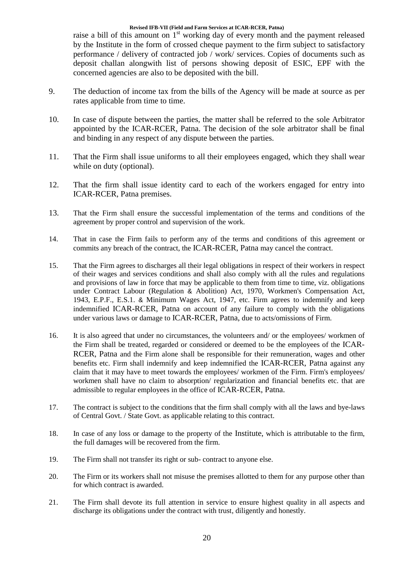raise a bill of this amount on  $1<sup>st</sup>$  working day of every month and the payment released by the Institute in the form of crossed cheque payment to the firm subject to satisfactory performance / delivery of contracted job / work/ services. Copies of documents such as deposit challan alongwith list of persons showing deposit of ESIC, EPF with the concerned agencies are also to be deposited with the bill.

- 9. The deduction of income tax from the bills of the Agency will be made at source as per rates applicable from time to time.
- 10. In case of dispute between the parties, the matter shall be referred to the sole Arbitrator appointed by the ICAR-RCER, Patna. The decision of the sole arbitrator shall be final and binding in any respect of any dispute between the parties.
- 11. That the Firm shall issue uniforms to all their employees engaged, which they shall wear while on duty (optional).
- 12. That the firm shall issue identity card to each of the workers engaged for entry into ICAR-RCER, Patna premises.
- 13. That the Firm shall ensure the successful implementation of the terms and conditions of the agreement by proper control and supervision of the work.
- 14. That in case the Firm fails to perform any of the terms and conditions of this agreement or commits any breach of the contract, the ICAR-RCER, Patna may cancel the contract.
- 15. That the Firm agrees to discharges all their legal obligations in respect of their workers in respect of their wages and services conditions and shall also comply with all the rules and regulations and provisions of law in force that may be applicable to them from time to time, viz. obligations under Contract Labour (Regulation & Abolition) Act, 1970, Workmen's Compensation Act, 1943, E.P.F., E.S.1. & Minimum Wages Act, 1947, etc. Firm agrees to indemnify and keep indemnified ICAR-RCER, Patna on account of any failure to comply with the obligations under various laws or damage to ICAR-RCER, Patna, due to acts/omissions of Firm.
- 16. It is also agreed that under no circumstances, the volunteers and/ or the employees/ workmen of the Firm shall be treated, regarded or considered or deemed to be the employees of the ICAR-RCER, Patna and the Firm alone shall be responsible for their remuneration, wages and other benefits etc. Firm shall indemnify and keep indemnified the ICAR-RCER, Patna against any claim that it may have to meet towards the employees/ workmen of the Firm. Firm's employees/ workmen shall have no claim to absorption/ regularization and financial benefits etc. that are admissible to regular employees in the office of ICAR-RCER, Patna.
- 17. The contract is subject to the conditions that the firm shall comply with all the laws and bye-laws of Central Govt. / State Govt. as applicable relating to this contract.
- 18. In case of any loss or damage to the property of the Institute, which is attributable to the firm, the full damages will be recovered from the firm.
- 19. The Firm shall not transfer its right or sub- contract to anyone else.
- 20. The Firm or its workers shall not misuse the premises allotted to them for any purpose other than for which contract is awarded.
- 21. The Firm shall devote its full attention in service to ensure highest quality in all aspects and discharge its obligations under the contract with trust, diligently and honestly.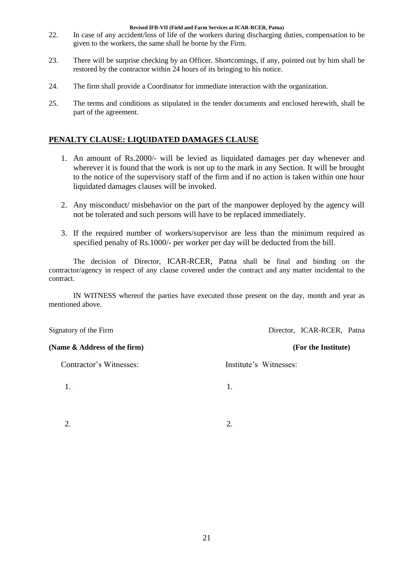- 22. In case of any accident/loss of life of the workers during discharging duties, compensation to be given to the workers, the same shall he borne by the Firm.
- 23. There will be surprise checking by an Officer. Shortcomings, if any, pointed out by him shall be restored by the contractor within 24 hours of its bringing to his notice.
- 24. The firm shall provide a Coordinator for immediate interaction with the organization.
- 25. The terms and conditions as stipulated in the tender documents and enclosed herewith, shall be part of the agreement.

#### **PENALTY CLAUSE: LIQUIDATED DAMAGES CLAUSE**

- 1. An amount of Rs.2000/- will be levied as liquidated damages per day whenever and wherever it is found that the work is not up to the mark in any Section. It will be brought to the notice of the supervisory staff of the firm and if no action is taken within one hour liquidated damages clauses will be invoked.
- 2. Any misconduct/ misbehavior on the part of the manpower deployed by the agency will not be tolerated and such persons will have to be replaced immediately.
- 3. If the required number of workers/supervisor are less than the minimum required as specified penalty of Rs.1000/- per worker per day will be deducted from the bill.

The decision of Director, ICAR-RCER, Patna shall be final and binding on the contractor/agency in respect of any clause covered under the contract and any matter incidental to the contract.

IN WITNESS whereof the parties have executed those present on the day, month and year as mentioned above.

Signatory of the Firm Director, ICAR-RCER, Patna **(Name & Address of the firm) (For the Institute)** Contractor's Witnesses: Institute's Witnesses: 1. 1.  $2.$  2.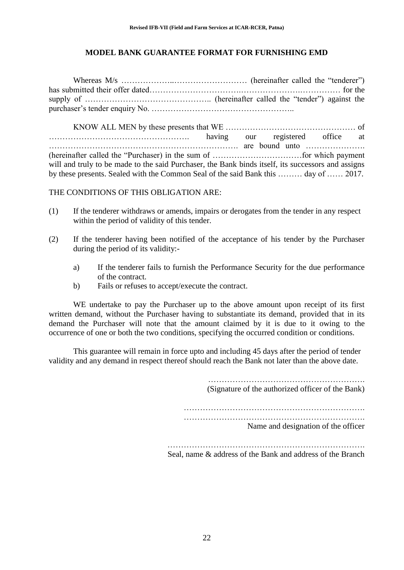#### **MODEL BANK GUARANTEE FORMAT FOR FURNISHING EMD**

Whereas M/s ………………..……………………… (hereinafter called the "tenderer") has submitted their offer dated…………………………….………………….…………… for the supply of ……………………………………….. (hereinafter called the "tender") against the purchaser"s tender enquiry No. ……………………………………………..

KNOW ALL MEN by these presents that WE ………………………………………… of ……………………………………………. having our registered office at ……………………………………………………………. are bound unto …………………. (hereinafter called the "Purchaser) in the sum of ……………………………for which payment will and truly to be made to the said Purchaser, the Bank binds itself, its successors and assigns by these presents. Sealed with the Common Seal of the said Bank this ……… day of …… 2017.

THE CONDITIONS OF THIS OBLIGATION ARE:

- (1) If the tenderer withdraws or amends, impairs or derogates from the tender in any respect within the period of validity of this tender.
- (2) If the tenderer having been notified of the acceptance of his tender by the Purchaser during the period of its validity:
	- a) If the tenderer fails to furnish the Performance Security for the due performance of the contract.
	- b) Fails or refuses to accept/execute the contract.

WE undertake to pay the Purchaser up to the above amount upon receipt of its first written demand, without the Purchaser having to substantiate its demand, provided that in its demand the Purchaser will note that the amount claimed by it is due to it owing to the occurrence of one or both the two conditions, specifying the occurred condition or conditions.

This guarantee will remain in force upto and including 45 days after the period of tender validity and any demand in respect thereof should reach the Bank not later than the above date.

(Signature of the authorized officer of the Bank)

…………………………………………………………. ………………………………………………………….

Name and designation of the officer

………………………………………………………………. Seal, name & address of the Bank and address of the Branch